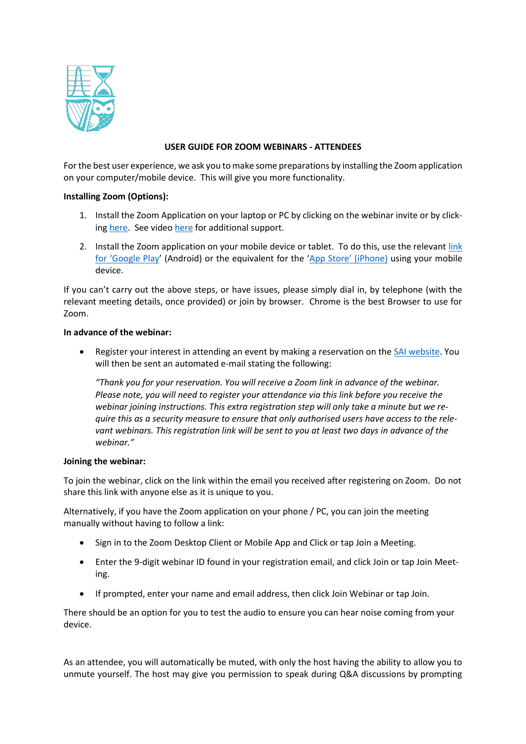

# **USER GUIDE FOR ZOOM WEBINARS - ATTENDEES**

For the best user experience, we ask you to make some preparations by installing the Zoom application on your computer/mobile device. This will give you more functionality.

# **Installing Zoom (Options):**

- 1. Install the Zoom Application on your laptop or PC by clicking on the webinar invite or by clicking [here.](https://zoom.us/download#client_4meeting) See video [here](https://screenrec.com/share/37vOcVZLXd) for additional support.
- 2. Install the Zoom application on your mobile device or tablet. To do this, use the relevant [link](https://play.google.com/store/apps/details?id=us.zoom.videomeetings&hl=en_IE) [for 'Google Play'](https://play.google.com/store/apps/details?id=us.zoom.videomeetings&hl=en_IE) (Android) or the equivalent for the ['App Store' \(iPhone\)](https://apps.apple.com/us/app/zoom-cloud-meetings/id546505307) using your mobile device.

If you can't carry out the above steps, or have issues, please simply dial in, by telephone (with the relevant meeting details, once provided) or join by browser. Chrome is the best Browser to use for Zoom.

## **In advance of the webinar:**

Register your interest in attending an event by making a reservation on the [SAI website.](https://web.actuaries.ie/events/upcoming) You will then be sent an automated e-mail stating the following:

*"Thank you for your reservation. You will receive a Zoom link in advance of the webinar. Please note, you will need to register your attendance via this link before you receive the webinar joining instructions. This extra registration step will only take a minute but we require this as a security measure to ensure that only authorised users have access to the relevant webinars. This registration link will be sent to you at least two days in advance of the webinar."*

## **Joining the webinar:**

To join the webinar, click on the link within the email you received after registering on Zoom. Do not share this link with anyone else as it is unique to you.

Alternatively, if you have the Zoom application on your phone / PC, you can join the meeting manually without having to follow a link:

- Sign in to the Zoom Desktop Client or Mobile App and Click or tap Join a Meeting.
- Enter the 9-digit webinar ID found in your registration email, and click Join or tap Join Meeting.
- If prompted, enter your name and email address, then click Join Webinar or tap Join.

There should be an option for you to test the audio to ensure you can hear noise coming from your device.

As an attendee, you will automatically be muted, with only the host having the ability to allow you to unmute yourself. The host may give you permission to speak during Q&A discussions by prompting